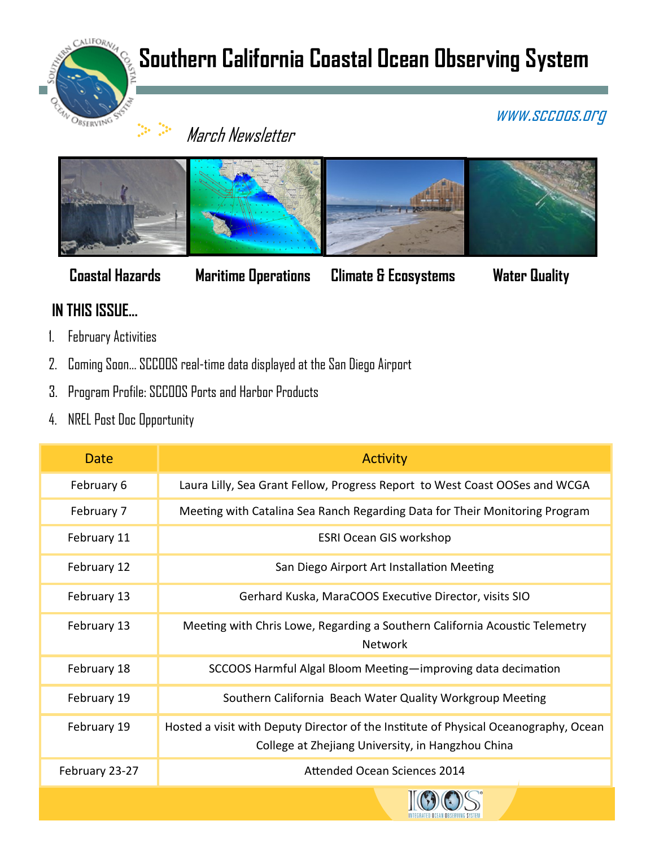# **Southern California Coastal Ocean Observing System**



#### www.sccoos.org

March Newsletter



 **Coastal Hazards Maritime Operations Climate & Ecosystems Water Quality**

## **IN THIS ISSUE...**

- 1. February Activities
- 2. Coming Soon… SCCOOS real-time data displayed at the San Diego Airport
- 3. Program Profile: SCCOOS Ports and Harbor Products
- 4. NREL Post Doc Opportunity

| <b>Date</b>    | <b>Activity</b>                                                                                                                           |
|----------------|-------------------------------------------------------------------------------------------------------------------------------------------|
| February 6     | Laura Lilly, Sea Grant Fellow, Progress Report to West Coast OOSes and WCGA                                                               |
| February 7     | Meeting with Catalina Sea Ranch Regarding Data for Their Monitoring Program                                                               |
| February 11    | <b>ESRI Ocean GIS workshop</b>                                                                                                            |
| February 12    | San Diego Airport Art Installation Meeting                                                                                                |
| February 13    | Gerhard Kuska, MaraCOOS Executive Director, visits SIO                                                                                    |
| February 13    | Meeting with Chris Lowe, Regarding a Southern California Acoustic Telemetry<br><b>Network</b>                                             |
| February 18    | SCCOOS Harmful Algal Bloom Meeting—improving data decimation                                                                              |
| February 19    | Southern California Beach Water Quality Workgroup Meeting                                                                                 |
| February 19    | Hosted a visit with Deputy Director of the Institute of Physical Oceanography, Ocean<br>College at Zhejiang University, in Hangzhou China |
| February 23-27 | <b>Attended Ocean Sciences 2014</b>                                                                                                       |
|                |                                                                                                                                           |